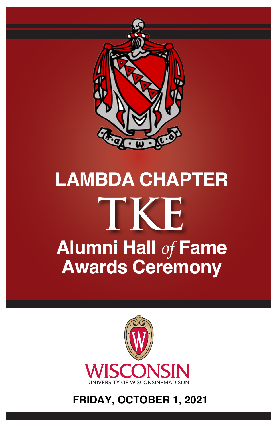

# **LAMBDA CHAPTER Alumni Hall** *of* **Fame Awards Ceremony TKE**



#### **FRIDAY, OCTOBER 1, 2021**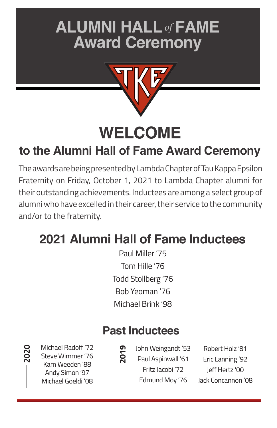# **ALUMNI HALL***of* **FAME Award Ceremony**



**WELCOME**

### **to the Alumni Hall of Fame Award Ceremony**

The awards are being presented by Lambda Chapter of Tau Kappa Epsilon Fraternity on Friday, October 1, 2021 to Lambda Chapter alumni for their outstanding achievements. Inductees are among a select group of alumni who have excelled in their career, their service to the community and/or to the fraternity.

## **2021 Alumni Hall of Fame Inductees**

Paul Miller '75 Tom Hille '76 Todd Stollberg '76 Bob Yeoman '76 Michael Brink '98

### **Past Inductees**

Michael Radoff '72 Steve Wimmer '76 Kam Weeden '88 Andy Simon '97 Michael Goeldi '08

**2020**

**2019**

John Weingandt '53 Paul Aspinwall '61 Fritz Jacobi '72 Edmund Moy '76

Robert Holz '81 Eric Lanning '92 Jeff Hertz '00 Jack Concannon '08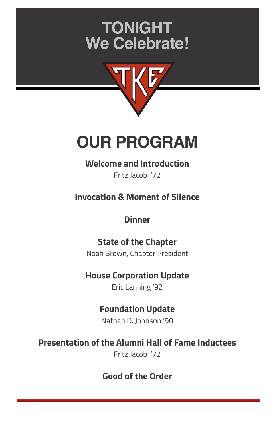# **TONIGHT We Celebrate!**



# **OUR PROGRAM**

#### **Welcome and Introduction**

Fritz Jacobi '72

**Invocation & Moment of Silence**

#### **Dinner**

**State of the Chapter** Noah Brown, Chapter President

#### **House Corporation Update**

Eric Lanning '92

### **Foundation Update**

Nathan D. Johnson '90

#### **Presentation of the Alumni Hall of Fame Inductees**

Fritz Jacobi '72

#### **Good of the Order**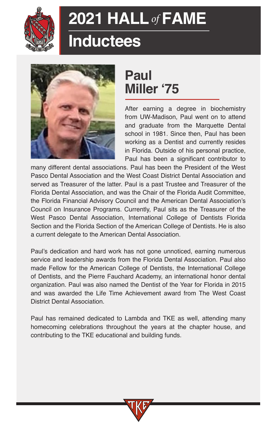

## **Inductees**



## **Paul Miller '75**

After earning a degree in biochemistry from UW-Madison, Paul went on to attend and graduate from the Marquette Dental school in 1981. Since then, Paul has been working as a Dentist and currently resides in Florida. Outside of his personal practice, Paul has been a significant contributor to

many different dental associations. Paul has been the President of the West Pasco Dental Association and the West Coast District Dental Association and served as Treasurer of the latter. Paul is a past Trustee and Treasurer of the Florida Dental Association, and was the Chair of the Florida Audit Committee, the Florida Financial Advisory Council and the American Dental Association's Council on Insurance Programs. Currently, Paul sits as the Treasurer of the West Pasco Dental Association, International College of Dentists Florida Section and the Florida Section of the American College of Dentists. He is also a current delegate to the American Dental Association.

Paul's dedication and hard work has not gone unnoticed, earning numerous service and leadership awards from the Florida Dental Association. Paul also made Fellow for the American College of Dentists, the International College of Dentists, and the Pierre Fauchard Academy, an international honor dental organization. Paul was also named the Dentist of the Year for Florida in 2015 and was awarded the Life Time Achievement award from The West Coast District Dental Association.

Paul has remained dedicated to Lambda and TKE as well, attending many homecoming celebrations throughout the years at the chapter house, and contributing to the TKE educational and building funds.

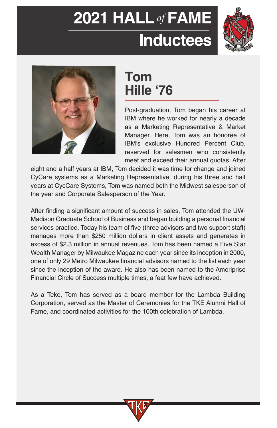





### **Tom Hille '76**

Post-graduation, Tom began his career at IBM where he worked for nearly a decade as a Marketing Representative & Market Manager. Here, Tom was an honoree of IBM's exclusive Hundred Percent Club, reserved for salesmen who consistently meet and exceed their annual quotas. After

eight and a half years at IBM, Tom decided it was time for change and joined CyCare systems as a Marketing Representative, during his three and half years at CycCare Systems, Tom was named both the Midwest salesperson of the year and Corporate Salesperson of the Year.

After finding a significant amount of success in sales, Tom attended the UW-Madison Graduate School of Business and began building a personal financial services practice. Today his team of five (three advisors and two support staff) manages more than \$250 million dollars in client assets and generates in excess of \$2.3 million in annual revenues. Tom has been named a Five Star Wealth Manager by Milwaukee Magazine each year since its inception in 2000, one of only 29 Metro Milwaukee financial advisors named to the list each year since the inception of the award. He also has been named to the Ameriprise Financial Circle of Success multiple times, a feat few have achieved.

As a Teke, Tom has served as a board member for the Lambda Building Corporation, served as the Master of Ceremonies for the TKE Alumni Hall of Fame, and coordinated activities for the 100th celebration of Lambda.

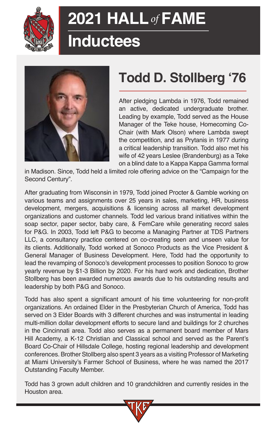

# **Inductees**



## **Todd D. Stollberg '76**

After pledging Lambda in 1976, Todd remained an active, dedicated undergraduate brother. Leading by example, Todd served as the House Manager of the Teke house, Homecoming Co-Chair (with Mark Olson) where Lambda swept the competition, and as Prytanis in 1977 during a critical leadership transition. Todd also met his wife of 42 years Leslee (Brandenburg) as a Teke on a blind date to a Kappa Kappa Gamma formal

in Madison. Since, Todd held a limited role offering advice on the "Campaign for the Second Century".

After graduating from Wisconsin in 1979, Todd joined Procter & Gamble working on various teams and assignments over 25 years in sales, marketing, HR, business development, mergers, acquisitions & licensing across all market development organizations and customer channels. Todd led various brand initiatives within the soap sector, paper sector, baby care, & FemCare while generating record sales for P&G. In 2003, Todd left P&G to become a Managing Partner at TDS Partners LLC, a consultancy practice centered on co-creating seen and unseen value for its clients. Additionally, Todd worked at Sonoco Products as the Vice President & General Manager of Business Development. Here, Todd had the opportunity to lead the revamping of Sonoco's development processes to position Sonoco to grow yearly revenue by \$1-3 Billion by 2020. For his hard work and dedication, Brother Stollberg has been awarded numerous awards due to his outstanding results and leadership by both P&G and Sonoco.

Todd has also spent a significant amount of his time volunteering for non-profit organizations. An ordained Elder in the Presbyterian Church of America, Todd has served on 3 Elder Boards with 3 different churches and was instrumental in leading multi-million dollar development efforts to secure land and buildings for 2 churches in the Cincinnati area. Todd also serves as a permanent board member of Mars Hill Academy, a K-12 Christian and Classical school and served as the Parent's Board Co-Chair of Hillsdale College, hosting regional leadership and development conferences. Brother Stollberg also spent 3 years as a visiting Professor of Marketing at Miami University's Farmer School of Business, where he was named the 2017 Outstanding Faculty Member.

Todd has 3 grown adult children and 10 grandchildren and currently resides in the Houston area.

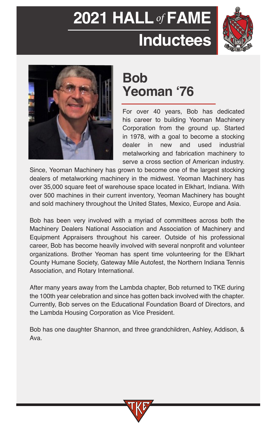# **2021 HALL***of* **FAME Inductees**





### **Bob Yeoman '76**

For over 40 years, Bob has dedicated his career to building Yeoman Machinery Corporation from the ground up. Started in 1978, with a goal to become a stocking dealer in new and used industrial metalworking and fabrication machinery to serve a cross section of American industry.

Since, Yeoman Machinery has grown to become one of the largest stocking dealers of metalworking machinery in the midwest. Yeoman Machinery has over 35,000 square feet of warehouse space located in Elkhart, Indiana. With over 500 machines in their current inventory, Yeoman Machinery has bought and sold machinery throughout the United States, Mexico, Europe and Asia.

Bob has been very involved with a myriad of committees across both the Machinery Dealers National Association and Association of Machinery and Equipment Appraisers throughout his career. Outside of his professional career, Bob has become heavily involved with several nonprofit and volunteer organizations. Brother Yeoman has spent time volunteering for the Elkhart County Humane Society, Gateway Mile Autofest, the Northern Indiana Tennis Association, and Rotary International.

After many years away from the Lambda chapter, Bob returned to TKE during the 100th year celebration and since has gotten back involved with the chapter. Currently, Bob serves on the Educational Foundation Board of Directors, and the Lambda Housing Corporation as Vice President.

Bob has one daughter Shannon, and three grandchildren, Ashley, Addison, & Ava.